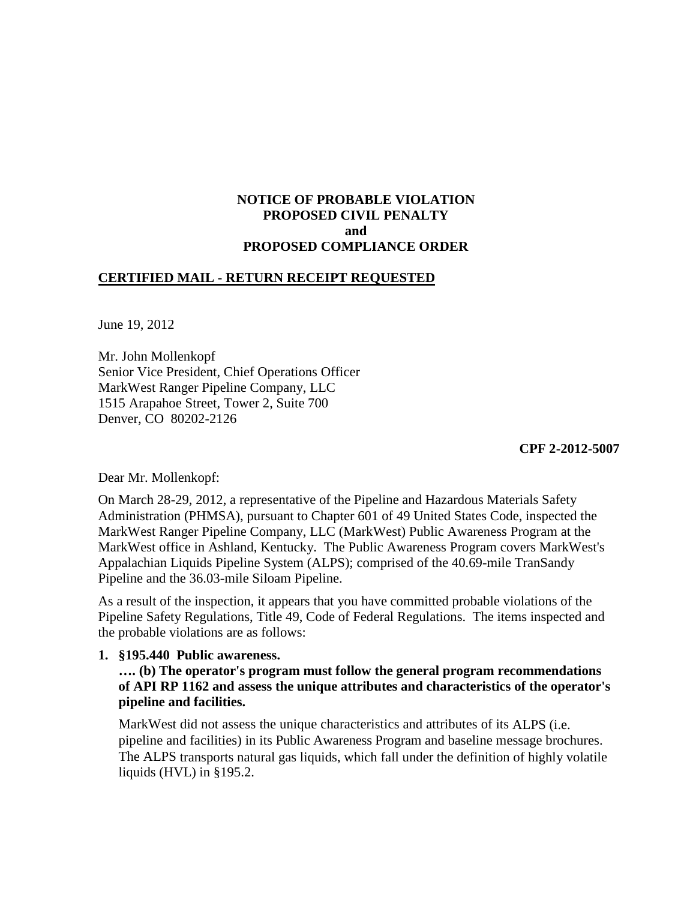# **NOTICE OF PROBABLE VIOLATION PROPOSED CIVIL PENALTY and PROPOSED COMPLIANCE ORDER**

### **CERTIFIED MAIL - RETURN RECEIPT REQUESTED**

June 19, 2012

Mr. John Mollenkopf Senior Vice President, Chief Operations Officer MarkWest Ranger Pipeline Company, LLC 1515 Arapahoe Street, Tower 2, Suite 700 Denver, CO 80202-2126

**CPF 2-2012-5007**

Dear Mr. Mollenkopf:

On March 28-29, 2012, a representative of the Pipeline and Hazardous Materials Safety Administration (PHMSA), pursuant to Chapter 601 of 49 United States Code, inspected the MarkWest Ranger Pipeline Company, LLC (MarkWest) Public Awareness Program at the MarkWest office in Ashland, Kentucky. The Public Awareness Program covers MarkWest's Appalachian Liquids Pipeline System (ALPS); comprised of the 40.69-mile TranSandy Pipeline and the 36.03-mile Siloam Pipeline.

As a result of the inspection, it appears that you have committed probable violations of the Pipeline Safety Regulations, Title 49, Code of Federal Regulations. The items inspected and the probable violations are as follows:

#### **1. §195.440 Public awareness.**

**…. (b) The operator's program must follow the general program recommendations of API RP 1162 and assess the unique attributes and characteristics of the operator's pipeline and facilities.**

MarkWest did not assess the unique characteristics and attributes of its ALPS (i.e. pipeline and facilities) in its Public Awareness Program and baseline message brochures. The ALPS transports natural gas liquids, which fall under the definition of highly volatile liquids (HVL) in §195.2.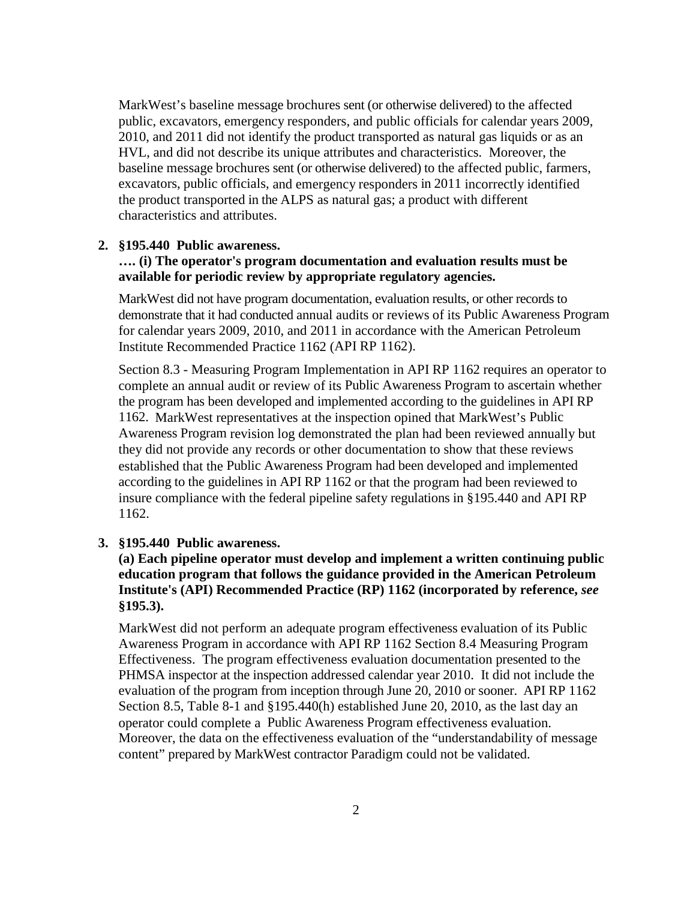MarkWest's baseline message brochures sent (or otherwise delivered) to the affected public, excavators, emergency responders, and public officials for calendar years 2009, 2010, and 2011 did not identify the product transported as natural gas liquids or as an HVL, and did not describe its unique attributes and characteristics. Moreover, the baseline message brochures sent (or otherwise delivered) to the affected public, farmers, excavators, public officials, and emergency responders in 2011 incorrectly identified the product transported in the ALPS as natural gas; a product with different characteristics and attributes.

#### **2. §195.440 Public awareness.**

#### **…. (i) The operator's program documentation and evaluation results must be available for periodic review by appropriate regulatory agencies.**

MarkWest did not have program documentation, evaluation results, or other records to demonstrate that it had conducted annual audits or reviews of its Public Awareness Program for calendar years 2009, 2010, and 2011 in accordance with the American Petroleum Institute Recommended Practice 1162 (API RP 1162).

Section 8.3 - Measuring Program Implementation in API RP 1162 requires an operator to complete an annual audit or review of its Public Awareness Program to ascertain whether the program has been developed and implemented according to the guidelines in API RP 1162. MarkWest representatives at the inspection opined that MarkWest's Public Awareness Program revision log demonstrated the plan had been reviewed annually but they did not provide any records or other documentation to show that these reviews established that the Public Awareness Program had been developed and implemented according to the guidelines in API RP 1162 or that the program had been reviewed to insure compliance with the federal pipeline safety regulations in §195.440 and API RP 1162.

#### **3. §195.440 Public awareness.**

# **(a) Each pipeline operator must develop and implement a written continuing public education program that follows the guidance provided in the American Petroleum Institute's (API) Recommended Practice (RP) 1162 (incorporated by reference,** *see*  **§195.3).**

MarkWest did not perform an adequate program effectiveness evaluation of its Public Awareness Program in accordance with API RP 1162 Section 8.4 Measuring Program Effectiveness. The program effectiveness evaluation documentation presented to the PHMSA inspector at the inspection addressed calendar year 2010. It did not include the evaluation of the program from inception through June 20, 2010 or sooner. API RP 1162 Section 8.5, Table 8-1 and §195.440(h) established June 20, 2010, as the last day an operator could complete a Public Awareness Program effectiveness evaluation. Moreover, the data on the effectiveness evaluation of the "understandability of message content" prepared by MarkWest contractor Paradigm could not be validated.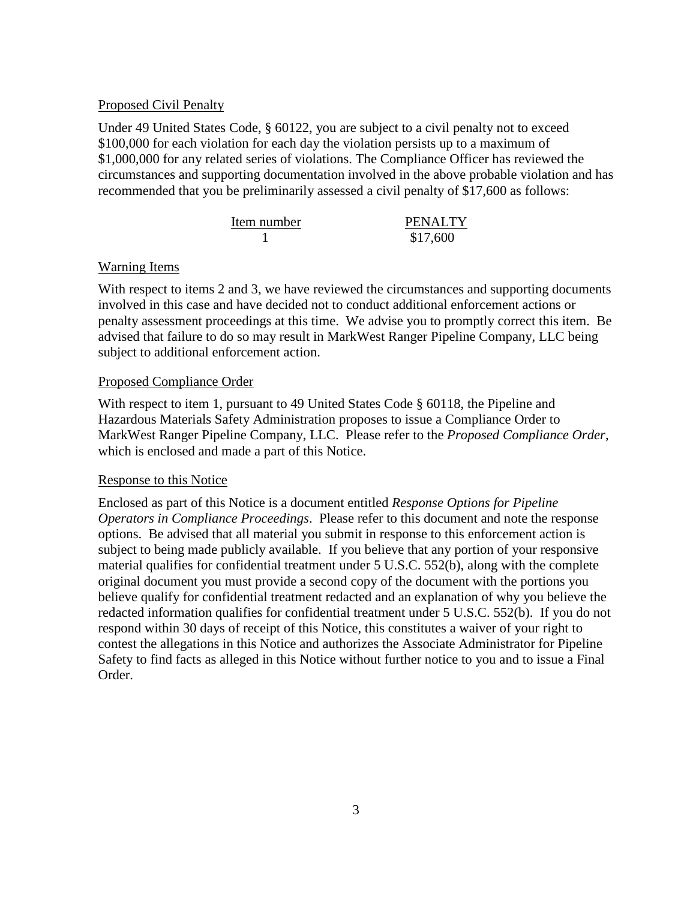### Proposed Civil Penalty

Under 49 United States Code, § 60122, you are subject to a civil penalty not to exceed \$100,000 for each violation for each day the violation persists up to a maximum of \$1,000,000 for any related series of violations. The Compliance Officer has reviewed the circumstances and supporting documentation involved in the above probable violation and has recommended that you be preliminarily assessed a civil penalty of \$17,600 as follows:

| Item number | <b>PENALTY</b> |
|-------------|----------------|
|             | \$17,600       |

# Warning Items

With respect to items 2 and 3, we have reviewed the circumstances and supporting documents involved in this case and have decided not to conduct additional enforcement actions or penalty assessment proceedings at this time. We advise you to promptly correct this item. Be advised that failure to do so may result in MarkWest Ranger Pipeline Company, LLC being subject to additional enforcement action.

### Proposed Compliance Order

With respect to item 1, pursuant to 49 United States Code § 60118, the Pipeline and Hazardous Materials Safety Administration proposes to issue a Compliance Order to MarkWest Ranger Pipeline Company, LLC. Please refer to the *Proposed Compliance Order*, which is enclosed and made a part of this Notice.

# Response to this Notice

Enclosed as part of this Notice is a document entitled *Response Options for Pipeline Operators in Compliance Proceedings*. Please refer to this document and note the response options. Be advised that all material you submit in response to this enforcement action is subject to being made publicly available. If you believe that any portion of your responsive material qualifies for confidential treatment under 5 U.S.C. 552(b), along with the complete original document you must provide a second copy of the document with the portions you believe qualify for confidential treatment redacted and an explanation of why you believe the redacted information qualifies for confidential treatment under 5 U.S.C. 552(b). If you do not respond within 30 days of receipt of this Notice, this constitutes a waiver of your right to contest the allegations in this Notice and authorizes the Associate Administrator for Pipeline Safety to find facts as alleged in this Notice without further notice to you and to issue a Final Order.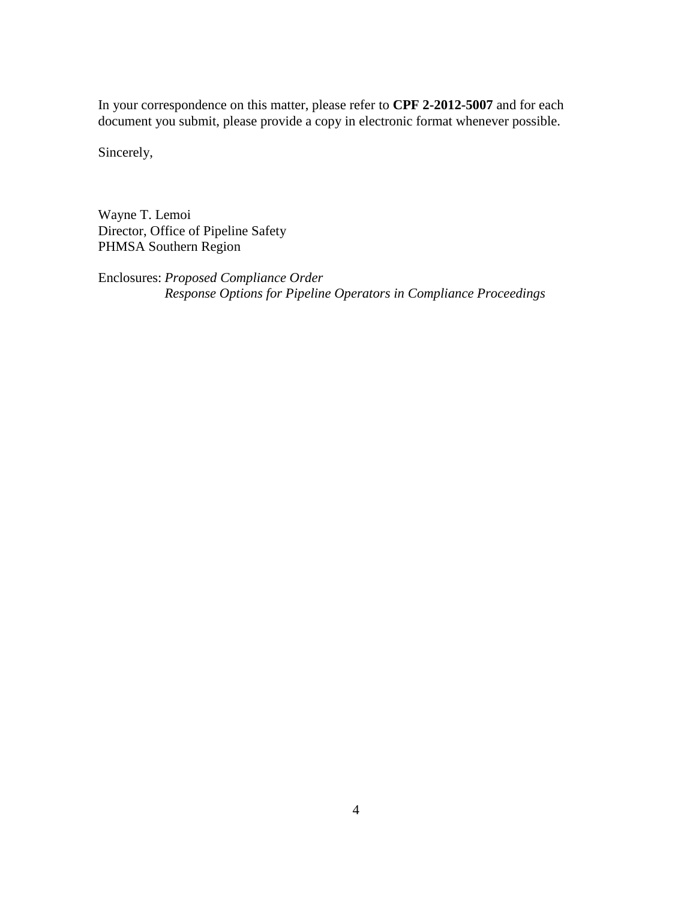In your correspondence on this matter, please refer to **CPF 2-2012-5007** and for each document you submit, please provide a copy in electronic format whenever possible.

Sincerely,

Wayne T. Lemoi Director, Office of Pipeline Safety PHMSA Southern Region

Enclosures: *Proposed Compliance Order Response Options for Pipeline Operators in Compliance Proceedings*